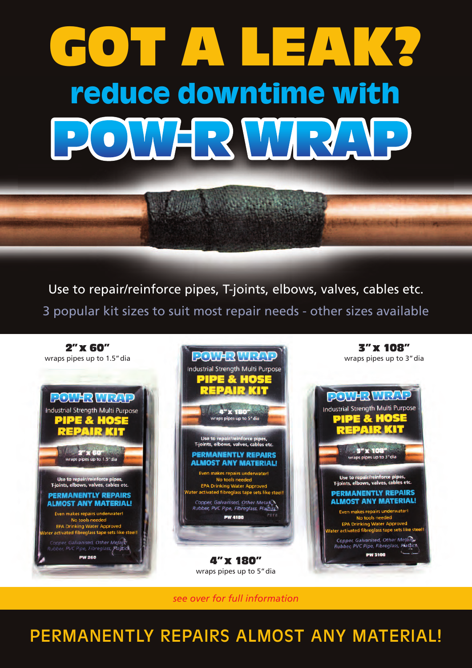# **GOT A LEAK? reduce downtime with** WARW

Use to repair/reinforce pipes, T-joints, elbows, valves, cables etc. 3 popular kit sizes to suit most repair needs - other sizes available



*see over for full information*

# PERMANENTLY REPAIRS ALMOST ANY MATERIAL!